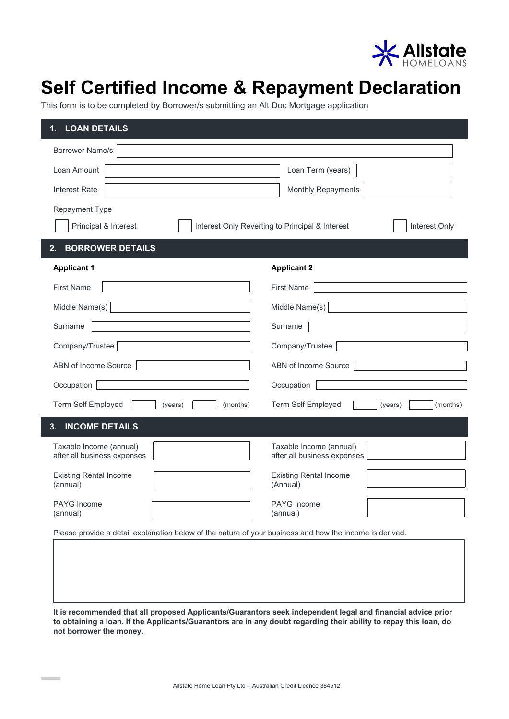

## **Self Certified Income & Repayment Declaration**

This form is to be completed by Borrower/s submitting an Alt Doc Mortgage application

| <b>LOAN DETAILS</b><br>1.                                                                                         |                                                        |  |
|-------------------------------------------------------------------------------------------------------------------|--------------------------------------------------------|--|
| <b>Borrower Name/s</b>                                                                                            |                                                        |  |
| Loan Amount                                                                                                       | Loan Term (years)                                      |  |
| Interest Rate                                                                                                     | Monthly Repayments                                     |  |
| <b>Repayment Type</b><br>Principal & Interest<br>Interest Only Reverting to Principal & Interest<br>Interest Only |                                                        |  |
|                                                                                                                   |                                                        |  |
| <b>BORROWER DETAILS</b><br>2.                                                                                     |                                                        |  |
| <b>Applicant 1</b>                                                                                                | <b>Applicant 2</b>                                     |  |
| <b>First Name</b>                                                                                                 | <b>First Name</b>                                      |  |
| Middle Name $(s)$                                                                                                 | Middle Name(s)                                         |  |
| Surname                                                                                                           | Surname                                                |  |
| Company/Trustee                                                                                                   | Company/Trustee                                        |  |
| ABN of Income Source                                                                                              | ABN of Income Source                                   |  |
| Occupation                                                                                                        | Occupation                                             |  |
| Term Self Employed<br>(years)<br>(months)                                                                         | Term Self Employed<br>(months)<br>(years)              |  |
| <b>INCOME DETAILS</b><br>3.                                                                                       |                                                        |  |
| Taxable Income (annual)<br>after all business expenses                                                            | Taxable Income (annual)<br>after all business expenses |  |
| <b>Existing Rental Income</b><br>(annual)                                                                         | <b>Existing Rental Income</b><br>(Annual)              |  |
| PAYG Income<br>(annual)                                                                                           | <b>PAYG</b> Income<br>(annual)                         |  |
| Please provide a detail explanation below of the nature of your business and how the income is derived.           |                                                        |  |

**It is recommended that all proposed Applicants/Guarantors seek independent legal and financial advice prior to obtaining a loan. If the Applicants/Guarantors are in any doubt regarding their ability to repay this loan, do not borrower the money.**